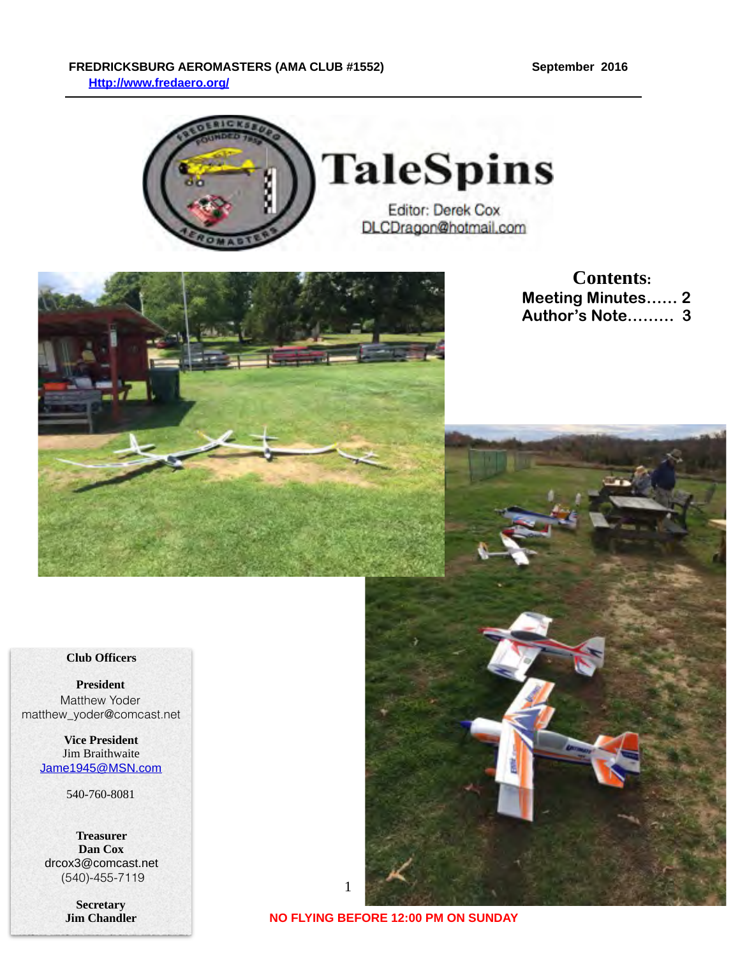#### FREDRICKSBURG AEROMASTERS (AMA CLUB #1552) September 2016  **[Http://www.fredaero.org/](http://www.fredaero.org/)**





**Contents: Meeting Minutes…… 2 Author's Note……… 3** 

#### **Club Officers**

**President** Matthew Yoder matthew\_yoder@comcast.net

> **Vice President** Jim Braithwaite [Jame1945@MSN.com](mailto:knjburnett@comcast.net)

> > 540-760-8081

**Treasurer Dan Cox** drcox3@comcast.net (540)-455-7119

> **Secretary Jim Chandler**



**NO FLYING BEFORE 12:00 PM ON SUNDAY**

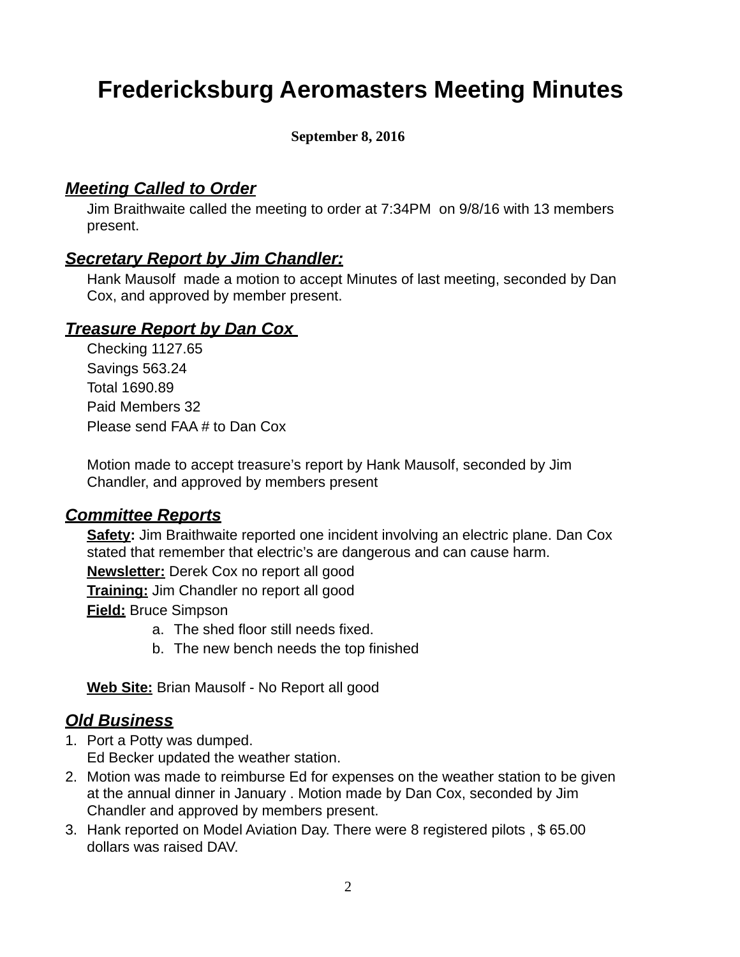# **Fredericksburg Aeromasters Meeting Minutes**

#### **September 8, 2016**

#### *Meeting Called to Order*

Jim Braithwaite called the meeting to order at 7:34PM on 9/8/16 with 13 members present.

#### *Secretary Report by Jim Chandler:*

Hank Mausolf made a motion to accept Minutes of last meeting, seconded by Dan Cox, and approved by member present.

#### *Treasure Report by Dan Cox*

Checking 1127.65 Savings 563.24 Total 1690.89 Paid Members 32 Please send FAA # to Dan Cox

Motion made to accept treasure's report by Hank Mausolf, seconded by Jim Chandler, and approved by members present

#### *Committee Reports*

**Safety:** Jim Braithwaite reported one incident involving an electric plane. Dan Cox stated that remember that electric's are dangerous and can cause harm. **Newsletter:** Derek Cox no report all good **Training:** Jim Chandler no report all good **Field:** Bruce Simpson a. The shed floor still needs fixed.

- 
- b. The new bench needs the top finished

**Web Site:** Brian Mausolf - No Report all good

#### *Old Business*

- 1. Port a Potty was dumped. Ed Becker updated the weather station.
- 2. Motion was made to reimburse Ed for expenses on the weather station to be given at the annual dinner in January . Motion made by Dan Cox, seconded by Jim Chandler and approved by members present.
- 3. Hank reported on Model Aviation Day. There were 8 registered pilots , \$ 65.00 dollars was raised DAV.